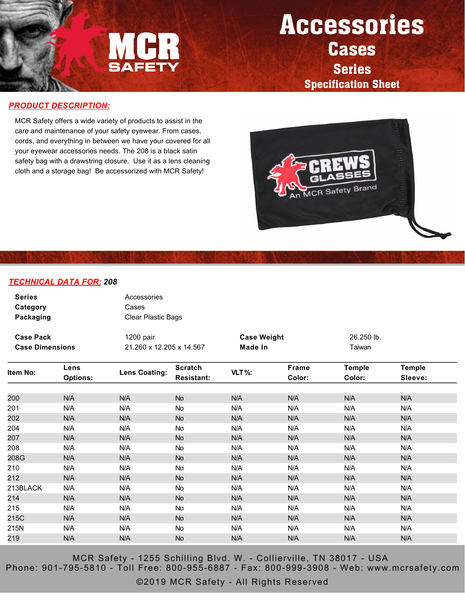

## Accessories Cases Series

Specification Sheet

## *PRODUCT DESCRIPTION:*

MCR Safety offers a wide variety of products to assist in the care and maintenance of your safety eyewear. From cases, cords, and everything in between we have your covered for all your eyewear accessories needs. The 208 is a black satin safety bag with a drawstring closure. Use it as a lens cleaning cloth and a storage bag! Be accessorized with MCR Safety!



## *TECHNICAL DATA FOR: 208*

| <b>Series</b><br>Category<br>Packaging |                         | Accessories<br>Cases<br>Clear Plastic Bags |                                     |                    |                 |                         |                          |  |  |
|----------------------------------------|-------------------------|--------------------------------------------|-------------------------------------|--------------------|-----------------|-------------------------|--------------------------|--|--|
| <b>Case Pack</b>                       |                         | 1200 pair                                  |                                     | <b>Case Weight</b> |                 | 26.250 lb.              |                          |  |  |
| <b>Case Dimensions</b>                 |                         | 21.260 x 12.205 x 14.567                   |                                     | Made In            |                 | Taiwan                  |                          |  |  |
| Item No:                               | Lens<br><b>Options:</b> | <b>Lens Coating:</b>                       | <b>Scratch</b><br><b>Resistant:</b> | $VLT$ %:           | Frame<br>Color: | <b>Temple</b><br>Color: | <b>Temple</b><br>Sleeve: |  |  |
| 200                                    | N/A                     | N/A                                        | <b>No</b>                           | N/A                | N/A             | N/A                     | N/A                      |  |  |
| 201                                    | N/A                     | N/A                                        | <b>No</b>                           | N/A                | N/A             | N/A                     | N/A                      |  |  |
| 202                                    |                         | N/A                                        |                                     |                    | N/A             | N/A                     | N/A                      |  |  |
|                                        | N/A                     |                                            | <b>No</b>                           | N/A                |                 |                         |                          |  |  |
| 204                                    | N/A                     | N/A                                        | No                                  | N/A                | N/A             | N/A                     | N/A                      |  |  |
| 207                                    | N/A                     | N/A                                        | <b>No</b>                           | N/A                | N/A             | N/A                     | N/A                      |  |  |
| 208                                    | N/A                     | N/A                                        | No                                  | N/A                | N/A             | N/A                     | N/A                      |  |  |
| 208G                                   | N/A                     | N/A                                        | <b>No</b>                           | N/A                | N/A             | N/A                     | N/A                      |  |  |
| 210                                    | N/A                     | N/A                                        | No.                                 | N/A                | N/A             | N/A                     | N/A                      |  |  |
| 212                                    | N/A                     | N/A                                        | <b>No</b>                           | N/A                | N/A             | N/A                     | N/A                      |  |  |
| 213BLACK                               | N/A                     | N/A                                        | No.                                 | N/A                | N/A             | N/A                     | N/A                      |  |  |
| 214                                    | N/A                     | N/A                                        | <b>No</b>                           | N/A                | N/A             | N/A                     | N/A                      |  |  |
| 215                                    | N/A                     | N/A                                        | <b>No</b>                           | N/A                | N/A             | N/A                     | N/A                      |  |  |
| 215C                                   | N/A                     | N/A                                        | <b>No</b>                           | N/A                | N/A             | N/A                     | N/A                      |  |  |
| 215N                                   | N/A                     | N/A                                        | <b>No</b>                           | N/A                | N/A             | N/A                     | N/A                      |  |  |
| 219                                    | N/A                     | N/A                                        | <b>No</b>                           | N/A                | N/A             | N/A                     | N/A                      |  |  |

MCR Safety - 1255 Schilling Blvd. W. - Collierville, TN 38017 - USA Phone: 901-795-5810 - Toll Free: 800-955-6887 - Fax: 800-999-3908 - Web: www.mcrsafety.com

©2019 MCR Safety - All Rights Reserved